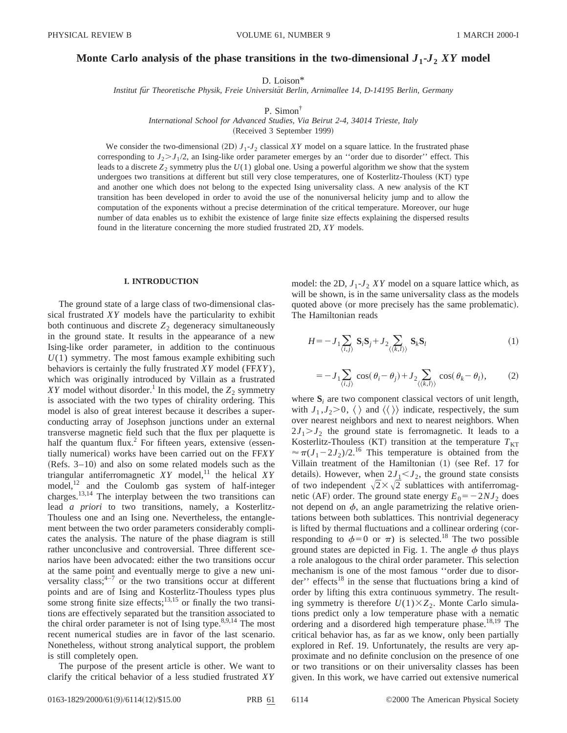# Monte Carlo analysis of the phase transitions in the two-dimensional  $J_1$ - $J_2$  XY model

D. Loison\*

*Institut fu¨r Theoretische Physik, Freie Universita¨t Berlin, Arnimallee 14, D-14195 Berlin, Germany*

P. Simon†

*International School for Advanced Studies, Via Beirut 2-4, 34014 Trieste, Italy*

(Received 3 September 1999)

We consider the two-dimensional  $(2D) J_1$ - $J_2$  classical *XY* model on a square lattice. In the frustrated phase corresponding to  $J_2 > J_1/2$ , an Ising-like order parameter emerges by an "order due to disorder" effect. This leads to a discrete *Z*<sup>2</sup> symmetry plus the *U*(1) global one. Using a powerful algorithm we show that the system undergoes two transitions at different but still very close temperatures, one of Kosterlitz-Thouless (KT) type and another one which does not belong to the expected Ising universality class. A new analysis of the KT transition has been developed in order to avoid the use of the nonuniversal helicity jump and to allow the computation of the exponents without a precise determination of the critical temperature. Moreover, our huge number of data enables us to exhibit the existence of large finite size effects explaining the dispersed results found in the literature concerning the more studied frustrated 2D, *XY* models.

## **I. INTRODUCTION**

The ground state of a large class of two-dimensional classical frustrated *XY* models have the particularity to exhibit both continuous and discrete  $Z_2$  degeneracy simultaneously in the ground state. It results in the appearance of a new Ising-like order parameter, in addition to the continuous *U*(1) symmetry. The most famous example exhibiting such behaviors is certainly the fully frustrated *XY* model (FF*XY*), which was originally introduced by Villain as a frustrated *XY* model without disorder.<sup>1</sup> In this model, the  $Z_2$  symmetry is associated with the two types of chirality ordering. This model is also of great interest because it describes a superconducting array of Josephson junctions under an external transverse magnetic field such that the flux per plaquette is half the quantum flux.<sup>2</sup> For fifteen years, extensive  $(essen$ tially numerical) works have been carried out on the FF*XY*  $(Refs. 3–10)$  and also on some related models such as the triangular antiferromagnetic  $XY$  model,<sup>11</sup> the helical  $XY$ model, $12$  and the Coulomb gas system of half-integer charges.13,14 The interplay between the two transitions can lead *a priori* to two transitions, namely, a Kosterlitz-Thouless one and an Ising one. Nevertheless, the entanglement between the two order parameters considerably complicates the analysis. The nature of the phase diagram is still rather unconclusive and controversial. Three different scenarios have been advocated: either the two transitions occur at the same point and eventually merge to give a new universality class;  $4-7$  or the two transitions occur at different points and are of Ising and Kosterlitz-Thouless types plus some strong finite size effects; $13,15$  or finally the two transitions are effectively separated but the transition associated to the chiral order parameter is not of Ising type. $8,9,14$  The most recent numerical studies are in favor of the last scenario. Nonetheless, without strong analytical support, the problem is still completely open.

The purpose of the present article is other. We want to clarify the critical behavior of a less studied frustrated *XY* model: the 2D,  $J_1$ - $J_2$  *XY* model on a square lattice which, as will be shown, is in the same universality class as the models quoted above (or more precisely has the same problematic). The Hamiltonian reads

$$
H = -J_1 \sum_{\langle i,j \rangle} \mathbf{S}_i \mathbf{S}_j + J_2 \sum_{\langle \langle k,l \rangle \rangle} \mathbf{S}_k \mathbf{S}_l \tag{1}
$$

$$
=-J_1 \sum_{\langle i,j\rangle} \cos(\theta_i - \theta_j) + J_2 \sum_{\langle\langle k,l\rangle\rangle} \cos(\theta_k - \theta_l),\tag{2}
$$

where  $S_i$  are two component classical vectors of unit length, with  $J_1, J_2 > 0$ ,  $\langle \rangle$  and  $\langle \langle \rangle$  indicate, respectively, the sum over nearest neighbors and next to nearest neighbors. When  $2J_1 > J_2$  the ground state is ferromagnetic. It leads to a Kosterlitz-Thouless (KT) transition at the temperature  $T_{KT}$  $\approx \pi (J_1 - 2J_2)/2$ .<sup>16</sup> This temperature is obtained from the Villain treatment of the Hamiltonian (1) (see Ref. 17 for details). However, when  $2J_1 < J_2$ , the ground state consists of two independent  $\sqrt{2} \times \sqrt{2}$  sublattices with antiferromagnetic (AF) order. The ground state energy  $E_0 = -2NJ_2$  does not depend on  $\phi$ , an angle parametrizing the relative orientations between both sublattices. This nontrivial degeneracy is lifted by thermal fluctuations and a collinear ordering (corresponding to  $\phi=0$  or  $\pi$ ) is selected.<sup>18</sup> The two possible ground states are depicted in Fig. 1. The angle  $\phi$  thus plays a role analogous to the chiral order parameter. This selection mechanism is one of the most famous ''order due to disor $der'$  effects<sup>18</sup> in the sense that fluctuations bring a kind of order by lifting this extra continuous symmetry. The resulting symmetry is therefore  $U(1)\times Z_2$ . Monte Carlo simulations predict only a low temperature phase with a nematic ordering and a disordered high temperature phase.<sup>18,19</sup> The critical behavior has, as far as we know, only been partially explored in Ref. 19. Unfortunately, the results are very approximate and no definite conclusion on the presence of one or two transitions or on their universality classes has been given. In this work, we have carried out extensive numerical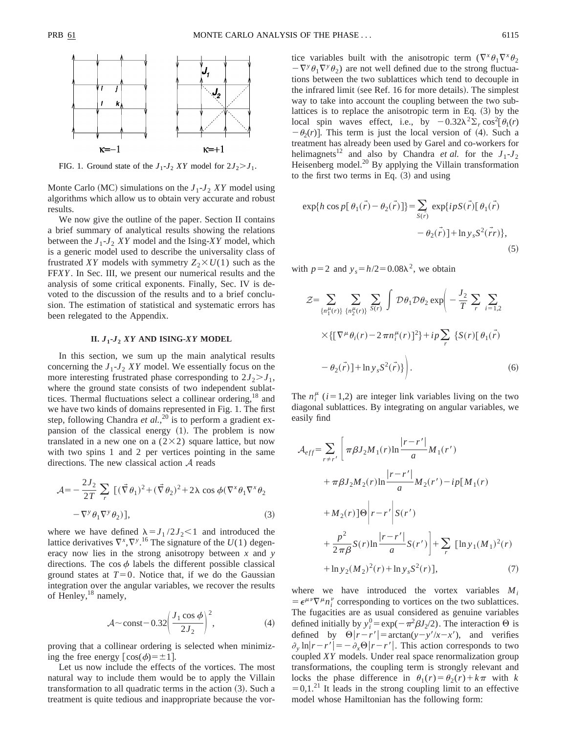

FIG. 1. Ground state of the  $J_1$ - $J_2$  *XY* model for  $2J_2 > J_1$ .

Monte Carlo (MC) simulations on the  $J_1-J_2$  *XY* model using algorithms which allow us to obtain very accurate and robust results.

We now give the outline of the paper. Section II contains a brief summary of analytical results showing the relations between the  $J_1$ - $J_2$  *XY* model and the Ising-*XY* model, which is a generic model used to describe the universality class of frustrated *XY* models with symmetry  $Z_2 \times U(1)$  such as the FF*XY*. In Sec. III, we present our numerical results and the analysis of some critical exponents. Finally, Sec. IV is devoted to the discussion of the results and to a brief conclusion. The estimation of statistical and systematic errors has been relegated to the Appendix.

# **II.** *J***1-***J***<sup>2</sup>** *XY* **AND ISING-***XY* **MODEL**

In this section, we sum up the main analytical results concerning the  $J_1$ - $J_2$  *XY* model. We essentially focus on the more interesting frustrated phase corresponding to  $2J_2 > J_1$ , where the ground state consists of two independent sublattices. Thermal fluctuations select a collinear ordering,<sup>18</sup> and we have two kinds of domains represented in Fig. 1. The first step, following Chandra *et al.*,<sup>20</sup> is to perform a gradient expansion of the classical energy  $(1)$ . The problem is now translated in a new one on a  $(2\times2)$  square lattice, but now with two spins 1 and 2 per vertices pointing in the same directions. The new classical action A reads

$$
\mathcal{A} = -\frac{2J_2}{2T} \sum_r \left[ (\vec{\nabla} \theta_1)^2 + (\vec{\nabla} \theta_2)^2 + 2\lambda \cos \phi (\nabla^x \theta_1 \nabla^x \theta_2 - \nabla^y \theta_1 \nabla^y \theta_2) \right],
$$
\n(3)

where we have defined  $\lambda = J_1 / 2J_2 < 1$  and introduced the lattice derivatives  $\nabla^x$ ,  $\nabla^y$ .<sup>16</sup> The signature of the *U*(1) degeneracy now lies in the strong anisotropy between *x* and *y* directions. The cos  $\phi$  labels the different possible classical ground states at  $T=0$ . Notice that, if we do the Gaussian integration over the angular variables, we recover the results of Henley,<sup>18</sup> namely,

$$
\mathcal{A} \sim \text{const} - 0.32 \left( \frac{J_1 \cos \phi}{2J_2} \right)^2,\tag{4}
$$

proving that a collinear ordering is selected when minimizing the free energy  $\lceil cos(\phi)=\pm 1 \rceil$ .

Let us now include the effects of the vortices. The most natural way to include them would be to apply the Villain transformation to all quadratic terms in the action  $(3)$ . Such a treatment is quite tedious and inappropriate because the vor-

tice variables built with the anisotropic term  $(\nabla^x \theta_1 \nabla^x \theta_2)$  $-\nabla^y \theta_1 \nabla^y \theta_2$  are not well defined due to the strong fluctuations between the two sublattices which tend to decouple in the infrared limit (see Ref. 16 for more details). The simplest way to take into account the coupling between the two sublattices is to replace the anisotropic term in Eq.  $(3)$  by the local spin waves effect, i.e., by  $-0.32\lambda^2\Sigma_r \cos^2[\theta_1(r)]$  $-\theta_2(r)$ . This term is just the local version of (4). Such a treatment has already been used by Garel and co-workers for helimagnets<sup>12</sup> and also by Chandra *et al.* for the  $J_1-J_2$ Heisenberg model.<sup>20</sup> By applying the Villain transformation to the first two terms in Eq.  $(3)$  and using

$$
\exp\{h\cos p[\theta_1(\vec{r})-\theta_2(\vec{r})]\} = \sum_{S(\vec{r})} \exp\{ipS(\vec{r})[\theta_1(\vec{r})-\theta_2(\vec{r})] + \ln y_s S^2(\vec{r}r)\},\tag{5}
$$

with  $p=2$  and  $y_s=h/2=0.08\lambda^2$ , we obtain

$$
\mathcal{Z} = \sum_{\{n_1^{\mu}(r)\}} \sum_{\{n_2^{\mu}(r)\}} \sum_{S(r)} \int \mathcal{D}\theta_1 \mathcal{D}\theta_2 \exp\left(-\frac{J_2}{T} \sum_r \sum_{i=1,2} \sum_{\mathbf{r}} \mathcal{L}(\nabla^{\mu}\theta_i(r) - 2\pi n_i^{\mu}(r))^2\right) + ip \sum_r \left\{S(r)[\theta_1(\vec{r}) - \theta_2(\vec{r})] + \ln y_s S^2(\vec{r})\right\}.
$$
\n(6)

The  $n_i^{\mu}$  (*i* = 1,2) are integer link variables living on the two diagonal sublattices. By integrating on angular variables, we easily find

$$
\mathcal{A}_{eff} = \sum_{r \neq r'} \left[ \pi \beta J_2 M_1(r) \ln \frac{|r - r'|}{a} M_1(r') \right. \n+ \pi \beta J_2 M_2(r) \ln \frac{|r - r'|}{a} M_2(r') - i p [M_1(r) \n+ M_2(r)] \Theta \Big| r - r' \Big| S(r') \n+ \frac{p^2}{2 \pi \beta} S(r) \ln \frac{|r - r'|}{a} S(r') \Big| + \sum_r \left[ \ln y_1 (M_1)^2(r) \right. \n+ \ln y_2 (M_2)^2(r) + \ln y_s S^2(r) ], \tag{7}
$$

where we have introduced the vortex variables  $M_i$  $= \epsilon^{\mu\nu} \nabla^{\mu} n_i^{\nu}$  corresponding to vortices on the two sublattices. The fugacities are as usual considered as genuine variables defined initially by  $y_i^0 = \exp(-\pi^2 \beta J_2/2)$ . The interaction  $\Theta$  is defined by  $\Theta |r-r'| = \arctan(y-y'/x-x')$ , and verifies  $\partial_{y} \ln |r-r'| = -\partial_{x} \Theta |r-r'|$ . This action corresponds to two coupled *XY* models. Under real space renormalization group transformations, the coupling term is strongly relevant and locks the phase difference in  $\theta_1(r) = \theta_2(r) + k\pi$  with *k*  $=0,1.^{21}$  It leads in the strong coupling limit to an effective model whose Hamiltonian has the following form: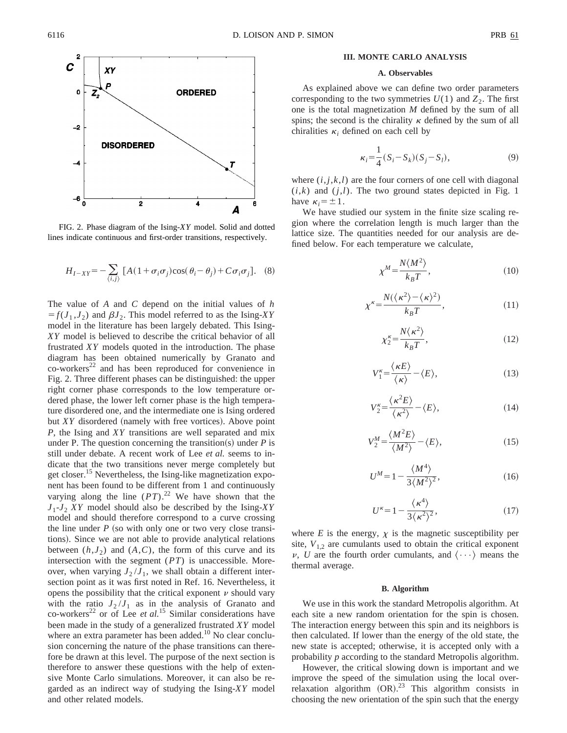

FIG. 2. Phase diagram of the Ising-*XY* model. Solid and dotted lines indicate continuous and first-order transitions, respectively.

$$
H_{I-XY} = -\sum_{\langle i,j\rangle} \left[ A(1 + \sigma_i \sigma_j) \cos(\theta_i - \theta_j) + C \sigma_i \sigma_j \right]. \tag{8}
$$

The value of *A* and *C* depend on the initial values of *h*  $f(f_1, J_2)$  and  $\beta J_2$ . This model referred to as the Ising-*XY* model in the literature has been largely debated. This Ising-*XY* model is believed to describe the critical behavior of all frustrated *XY* models quoted in the introduction. The phase diagram has been obtained numerically by Granato and  $\rm{co-wor} \rm{ker} \rm{s}^{22}$  and has been reproduced for convenience in Fig. 2. Three different phases can be distinguished: the upper right corner phase corresponds to the low temperature ordered phase, the lower left corner phase is the high temperature disordered one, and the intermediate one is Ising ordered but  $XY$  disordered (namely with free vortices). Above point *P*, the Ising and *XY* transitions are well separated and mix under P. The question concerning the transition(s) under  *is* still under debate. A recent work of Lee *et al.* seems to indicate that the two transitions never merge completely but get closer.<sup>15</sup> Nevertheless, the Ising-like magnetization exponent has been found to be different from 1 and continuously varying along the line  $(PT)$ .<sup>22</sup> We have shown that the *J*1-*J*<sup>2</sup> *XY* model should also be described by the Ising-*XY* model and should therefore correspond to a curve crossing the line under  $P$  (so with only one or two very close transitions). Since we are not able to provide analytical relations between  $(h, J_2)$  and  $(A, C)$ , the form of this curve and its intersection with the segment (*PT*) is unaccessible. Moreover, when varying  $J_2 / J_1$ , we shall obtain a different intersection point as it was first noted in Ref. 16. Nevertheless, it opens the possibility that the critical exponent  $\nu$  should vary with the ratio  $J_2/J_1$  as in the analysis of Granato and co-workers<sup>22</sup> or of Lee *et al.*<sup>15</sup> Similar considerations have been made in the study of a generalized frustrated *XY* model where an extra parameter has been added.<sup>10</sup> No clear conclusion concerning the nature of the phase transitions can therefore be drawn at this level. The purpose of the next section is therefore to answer these questions with the help of extensive Monte Carlo simulations. Moreover, it can also be regarded as an indirect way of studying the Ising-*XY* model and other related models.

# **III. MONTE CARLO ANALYSIS**

# **A. Observables**

As explained above we can define two order parameters corresponding to the two symmetries  $U(1)$  and  $Z_2$ . The first one is the total magnetization *M* defined by the sum of all spins; the second is the chirality  $\kappa$  defined by the sum of all chiralities  $\kappa_i$  defined on each cell by

$$
\kappa_i = \frac{1}{4} (S_i - S_k)(S_j - S_l),
$$
\n(9)

where  $(i, j, k, l)$  are the four corners of one cell with diagonal  $(i,k)$  and  $(j,l)$ . The two ground states depicted in Fig. 1 have  $\kappa_i = \pm 1$ .

We have studied our system in the finite size scaling region where the correlation length is much larger than the lattice size. The quantities needed for our analysis are defined below. For each temperature we calculate,

$$
\chi^M = \frac{N \langle M^2 \rangle}{k_B T},\tag{10}
$$

$$
\chi^{\kappa} = \frac{N(\langle \kappa^2 \rangle - \langle \kappa \rangle^2)}{k_B T},\tag{11}
$$

$$
\chi_2^{\kappa} = \frac{N\langle\kappa^2\rangle}{k_B T},\tag{12}
$$

$$
V_1^{\kappa} = \frac{\langle \kappa E \rangle}{\langle \kappa \rangle} - \langle E \rangle, \tag{13}
$$

$$
V_2^{\kappa} = \frac{\langle \kappa^2 E \rangle}{\langle \kappa^2 \rangle} - \langle E \rangle, \tag{14}
$$

$$
V_2^M = \frac{\langle M^2 E \rangle}{\langle M^2 \rangle} - \langle E \rangle, \tag{15}
$$

$$
U^M = 1 - \frac{\langle M^4 \rangle}{3 \langle M^2 \rangle^2},\tag{16}
$$

$$
U^{\kappa} = 1 - \frac{\langle \kappa^4 \rangle}{3 \langle \kappa^2 \rangle^2},\tag{17}
$$

where  $E$  is the energy,  $\chi$  is the magnetic susceptibility per site,  $V_{1,2}$  are cumulants used to obtain the critical exponent  $\nu$ , *U* are the fourth order cumulants, and  $\langle \cdots \rangle$  means the thermal average.

# **B. Algorithm**

We use in this work the standard Metropolis algorithm. At each site a new random orientation for the spin is chosen. The interaction energy between this spin and its neighbors is then calculated. If lower than the energy of the old state, the new state is accepted; otherwise, it is accepted only with a probability *p* according to the standard Metropolis algorithm.

However, the critical slowing down is important and we improve the speed of the simulation using the local overrelaxation algorithm  $(OR).^{23}$  This algorithm consists in choosing the new orientation of the spin such that the energy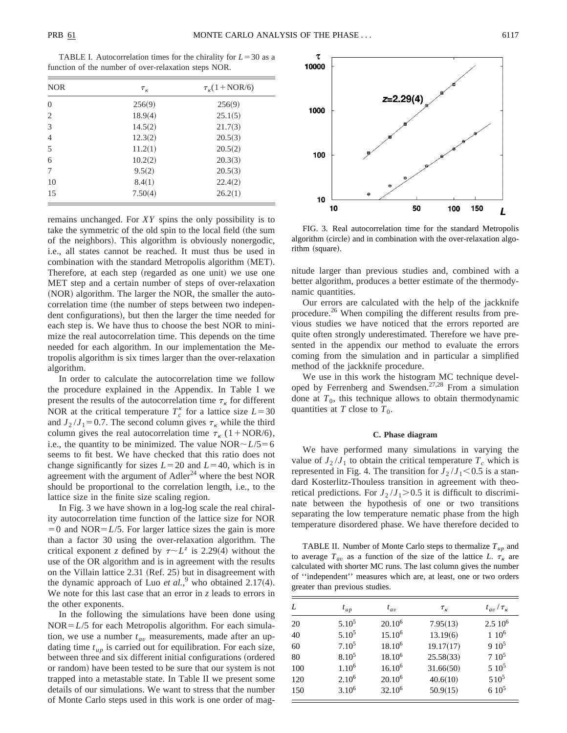TABLE I. Autocorrelation times for the chirality for  $L = 30$  as a function of the number of over-relaxation steps NOR.

| <b>NOR</b>     | $\tau_{\kappa}$ | $\tau_{\nu}$ (1+NOR/6) |  |
|----------------|-----------------|------------------------|--|
| $\overline{0}$ | 256(9)          | 256(9)                 |  |
| 2              | 18.9(4)         | 25.1(5)                |  |
| 3              | 14.5(2)         | 21.7(3)                |  |
| $\overline{4}$ | 12.3(2)         | 20.5(3)                |  |
| 5              | 11.2(1)         | 20.5(2)                |  |
| 6              | 10.2(2)         | 20.3(3)                |  |
| 7              | 9.5(2)          | 20.5(3)                |  |
| 10             | 8.4(1)          | 22.4(2)                |  |
| 15             | 7.50(4)         | 26.2(1)                |  |

remains unchanged. For *XY* spins the only possibility is to take the symmetric of the old spin to the local field (the sum of the neighbors). This algorithm is obviously nonergodic, i.e., all states cannot be reached. It must thus be used in combination with the standard Metropolis algorithm (MET). Therefore, at each step (regarded as one unit) we use one MET step and a certain number of steps of over-relaxation (NOR) algorithm. The larger the NOR, the smaller the autocorrelation time (the number of steps between two independent configurations), but then the larger the time needed for each step is. We have thus to choose the best NOR to minimize the real autocorrelation time. This depends on the time needed for each algorithm. In our implementation the Metropolis algorithm is six times larger than the over-relaxation algorithm.

In order to calculate the autocorrelation time we follow the procedure explained in the Appendix. In Table I we present the results of the autocorrelation time  $\tau_{\kappa}$  for different NOR at the critical temperature  $T_c^k$  for a lattice size  $L=30$ and  $J_2 / J_1 = 0.7$ . The second column gives  $\tau_K$  while the third column gives the real autocorrelation time  $\tau_{\kappa}$  (1+NOR/6), i.e., the quantity to be minimized. The value  $NOR \sim L/5=6$ seems to fit best. We have checked that this ratio does not change significantly for sizes  $L=20$  and  $L=40$ , which is in agreement with the argument of  $\text{Adler}^{24}$  where the best NOR should be proportional to the correlation length, i.e., to the lattice size in the finite size scaling region.

In Fig. 3 we have shown in a log-log scale the real chirality autocorrelation time function of the lattice size for NOR  $=0$  and NOR $=L/5$ . For larger lattice sizes the gain is more than a factor 30 using the over-relaxation algorithm. The critical exponent *z* defined by  $\tau \sim L^z$  is 2.29(4) without the use of the OR algorithm and is in agreement with the results on the Villain lattice  $2.31$  (Ref. 25) but in disagreement with the dynamic approach of Luo *et al.*,<sup>9</sup> who obtained 2.17(4). We note for this last case that an error in *z* leads to errors in the other exponents.

In the following the simulations have been done using  $NOR = L/5$  for each Metropolis algorithm. For each simulation, we use a number  $t_{av}$  measurements, made after an updating time  $t_{up}$  is carried out for equilibration. For each size, between three and six different initial configurations (ordered or random) have been tested to be sure that our system is not trapped into a metastable state. In Table II we present some details of our simulations. We want to stress that the number of Monte Carlo steps used in this work is one order of mag-



FIG. 3. Real autocorrelation time for the standard Metropolis algorithm (circle) and in combination with the over-relaxation algorithm (square).

nitude larger than previous studies and, combined with a better algorithm, produces a better estimate of the thermodynamic quantities.

Our errors are calculated with the help of the jackknife procedure.<sup>26</sup> When compiling the different results from previous studies we have noticed that the errors reported are quite often strongly underestimated. Therefore we have presented in the appendix our method to evaluate the errors coming from the simulation and in particular a simplified method of the jackknife procedure.

We use in this work the histogram MC technique developed by Ferrenberg and Swendsen.27,28 From a simulation done at  $T_0$ , this technique allows to obtain thermodynamic quantities at *T* close to  $T_0$ .

### **C. Phase diagram**

We have performed many simulations in varying the value of  $J_2 / J_1$  to obtain the critical temperature  $T_c$  which is represented in Fig. 4. The transition for  $J_2/J_1 \leq 0.5$  is a standard Kosterlitz-Thouless transition in agreement with theoretical predictions. For  $J_2 / J_1 > 0.5$  it is difficult to discriminate between the hypothesis of one or two transitions separating the low temperature nematic phase from the high temperature disordered phase. We have therefore decided to

TABLE II. Number of Monte Carlo steps to thermalize *Tup* and to average  $T_{av}$  as a function of the size of the lattice *L*.  $\tau_{\kappa}$  are calculated with shorter MC runs. The last column gives the number of ''independent'' measures which are, at least, one or two orders greater than previous studies.

| L   | $t_{up}$          | $t_{av}$           | $\tau_{\kappa}$ | $t_{av}/\tau_{\kappa}$ |
|-----|-------------------|--------------------|-----------------|------------------------|
| 20  | $5.10^{5}$        | $20.10^{6}$        | 7.95(13)        | $2.510^6$              |
| 40  | $5.10^{5}$        | 15.10 <sup>6</sup> | 13.19(6)        | $1~10^6$               |
| 60  | $7.10^{5}$        | $18.10^{6}$        | 19.17(17)       | $910^5$                |
| 80  | $8.10^{5}$        | $18.10^{6}$        | 25.58(33)       | $7.10^5$               |
| 100 | 1.10 <sup>6</sup> | $16.10^{6}$        | 31.66(50)       | $510^5$                |
| 120 | $2.10^{6}$        | $20.10^{6}$        | 40.6(10)        | $510^5$                |
| 150 | $3.10^{6}$        | $32.10^{6}$        | 50.9(15)        | $610^5$                |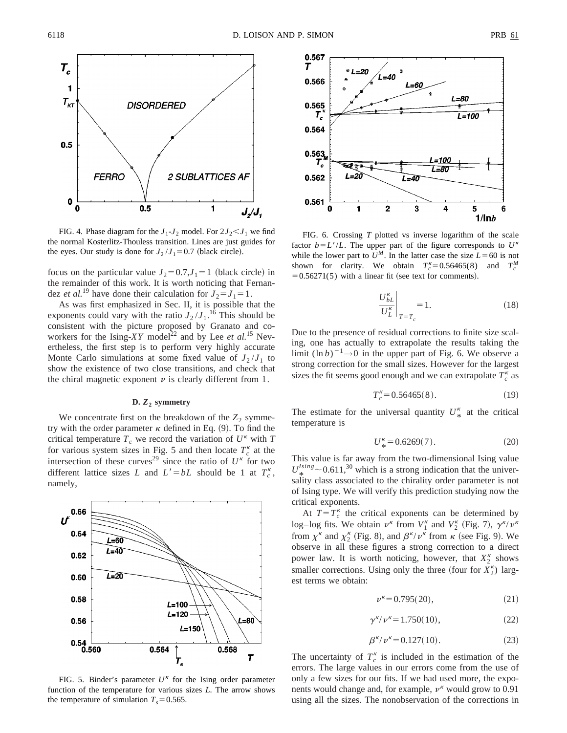

FIG. 4. Phase diagram for the  $J_1$ - $J_2$  model. For  $2J_2 < J_1$  we find the normal Kosterlitz-Thouless transition. Lines are just guides for the eyes. Our study is done for  $J_2 / J_1 = 0.7$  (black circle).

focus on the particular value  $J_2=0.7$ , $J_1=1$  (black circle) in the remainder of this work. It is worth noticing that Fernandez *et al.*<sup>19</sup> have done their calculation for  $J_2 = J_1 = 1$ .

As was first emphasized in Sec. II, it is possible that the exponents could vary with the ratio  $J_2 / J_1$ .<sup>16</sup> This should be consistent with the picture proposed by Granato and coworkers for the Ising-*XY* model<sup>22</sup> and by Lee *et al.*<sup>15</sup> Nevertheless, the first step is to perform very highly accurate Monte Carlo simulations at some fixed value of  $J_2 / J_1$  to show the existence of two close transitions, and check that the chiral magnetic exponent  $\nu$  is clearly different from 1.

# **D.** *Z***<sup>2</sup> symmetry**

We concentrate first on the breakdown of the  $Z_2$  symmetry with the order parameter  $\kappa$  defined in Eq. (9). To find the critical temperature  $T_c$  we record the variation of  $U^k$  with  $T_c$ for various system sizes in Fig. 5 and then locate  $T_c^k$  at the intersection of these curves<sup>29</sup> since the ratio of  $U^k$  for two different lattice sizes *L* and  $L' = bL$  should be 1 at  $T_c^k$ , namely,



FIG. 5. Binder's parameter  $U^k$  for the Ising order parameter function of the temperature for various sizes *L*. The arrow shows the temperature of simulation  $T_s = 0.565$ .



FIG. 6. Crossing *T* plotted vs inverse logarithm of the scale factor  $b = L'/L$ . The upper part of the figure corresponds to  $U^k$ while the lower part to  $U^M$ . In the latter case the size  $L=60$  is not shown for clarity. We obtain  $T_c^{\kappa} = 0.56465(8)$  and  $T_c^M$  $=0.56271(5)$  with a linear fit (see text for comments).

$$
\left. \frac{U_{bL}^{k}}{U_{L}^{k}} \right|_{T=T_{c}} = 1.
$$
\n(18)

Due to the presence of residual corrections to finite size scaling, one has actually to extrapolate the results taking the limit  $(\ln b)^{-1} \rightarrow 0$  in the upper part of Fig. 6. We observe a strong correction for the small sizes. However for the largest sizes the fit seems good enough and we can extrapolate  $T_c^{\kappa}$  as

$$
T_c^k = 0.56465(8). \tag{19}
$$

The estimate for the universal quantity  $U^k_{\ast}$  at the critical temperature is temperature is

$$
U_*^{\kappa} = 0.6269(7). \tag{20}
$$

This value is far away from the two-dimensional Ising value  $U_{\ast}^{Ising} \sim 0.611$ ,<sup>30</sup> which is a strong indication that the universality class associated to the chirality order parameter is not of Ising type. We will verify this prediction studying now the critical exponents.

At  $T=T_c^{\kappa}$  the critical exponents can be determined by log–log fits. We obtain  $\nu^{\kappa}$  from  $V_1^{\kappa}$  and  $V_2^{\kappa}$  (Fig. 7),  $\gamma^{\kappa} / \nu^{\kappa}$ from  $\chi^k$  and  $\chi_2^k$  (Fig. 8), and  $\beta^{k}/\nu^k$  from  $\kappa$  (see Fig. 9). We observe in all these figures a strong correction to a direct power law. It is worth noticing, however, that  $X_2^k$  shows smaller corrections. Using only the three (four for  $X_2^{\kappa}$ ) largest terms we obtain:

$$
\nu^{\kappa} = 0.795(20),\tag{21}
$$

$$
\gamma^{\kappa}/\nu^{\kappa} = 1.750(10),\tag{22}
$$

$$
\beta^{\kappa/\nu^{\kappa}} = 0.127(10). \tag{23}
$$

The uncertainty of  $T_c^k$  is included in the estimation of the errors. The large values in our errors come from the use of only a few sizes for our fits. If we had used more, the exponents would change and, for example,  $\nu^k$  would grow to 0.91 using all the sizes. The nonobservation of the corrections in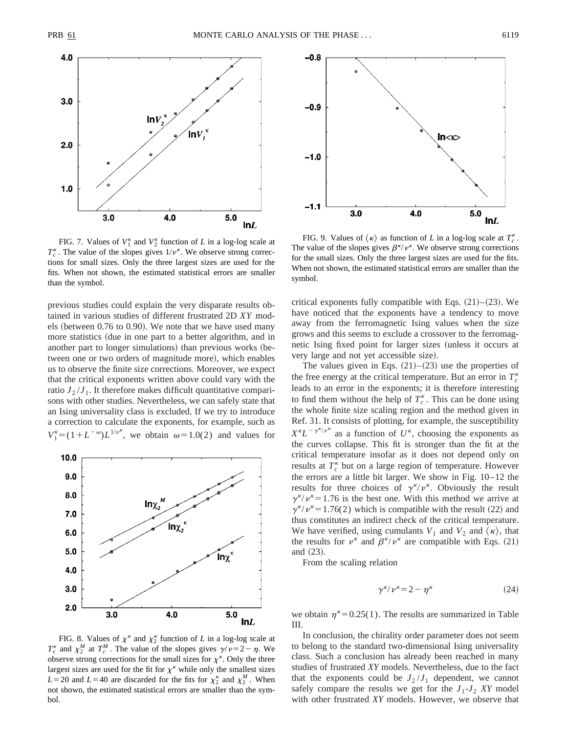

FIG. 7. Values of  $V_1^{\kappa}$  and  $V_2^{\kappa}$  function of *L* in a log-log scale at  $T_c^{\kappa}$ . The value of the slopes gives  $1/\nu^{\kappa}$ . We observe strong corrections for small sizes. Only the three largest sizes are used for the fits. When not shown, the estimated statistical errors are smaller than the symbol.

previous studies could explain the very disparate results obtained in various studies of different frustrated 2D *XY* models (between  $0.76$  to  $0.90$ ). We note that we have used many more statistics (due in one part to a better algorithm, and in another part to longer simulations) than previous works (between one or two orders of magnitude more), which enables us to observe the finite size corrections. Moreover, we expect that the critical exponents written above could vary with the ratio  $J_2/J_1$ . It therefore makes difficult quantitative comparisons with other studies. Nevertheless, we can safely state that an Ising universality class is excluded. If we try to introduce a correction to calculate the exponents, for example, such as  $V_1^k = (1 + L^{-\omega})L^{1/\nu^k}$ , we obtain  $\omega = 1.0(2)$  and values for



FIG. 8. Values of  $\chi^k$  and  $\chi_2^k$  function of *L* in a log-log scale at  $T_c^{\kappa}$  and  $\chi_2^M$  at  $T_c^M$ . The value of the slopes gives  $\gamma/\nu=2-\eta$ . We observe strong corrections for the small sizes for  $\chi^k$ . Only the three largest sizes are used for the fit for  $\chi^k$  while only the smallest sizes  $L=20$  and  $L=40$  are discarded for the fits for  $\chi_2^k$  and  $\chi_2^M$ . When not shown, the estimated statistical errors are smaller than the symbol.



FIG. 9. Values of  $\langle \kappa \rangle$  as function of *L* in a log-log scale at  $T_c^{\kappa}$ . The value of the slopes gives  $\beta^{\kappa}/\nu^{\kappa}$ . We observe strong corrections for the small sizes. Only the three largest sizes are used for the fits. When not shown, the estimated statistical errors are smaller than the symbol.

critical exponents fully compatible with Eqs.  $(21)–(23)$ . We have noticed that the exponents have a tendency to move away from the ferromagnetic Ising values when the size grows and this seems to exclude a crossover to the ferromagnetic Ising fixed point for larger sizes (unless it occurs at very large and not yet accessible size).

The values given in Eqs.  $(21)$ – $(23)$  use the properties of the free energy at the critical temperature. But an error in  $T_c^{\kappa}$ leads to an error in the exponents; it is therefore interesting to find them without the help of  $T_c^k$ . This can be done using the whole finite size scaling region and the method given in Ref. 31. It consists of plotting, for example, the susceptibility  $X^k L^{-\gamma^{k}/\nu^{k}}$  as a function of U<sup>k</sup>, choosing the exponents as the curves collapse. This fit is stronger than the fit at the critical temperature insofar as it does not depend only on results at  $T_c^{\kappa}$  but on a large region of temperature. However the errors are a little bit larger. We show in Fig. 10–12 the results for three choices of  $\gamma^{\kappa}/\nu^{\kappa}$ . Obviously the result  $\gamma^{\kappa}/\nu^{\kappa}$  = 1.76 is the best one. With this method we arrive at  $\gamma^{\kappa}/\nu^{\kappa}$  = 1.76(2) which is compatible with the result (22) and thus constitutes an indirect check of the critical temperature. We have verified, using cumulants  $V_1$  and  $V_2$  and  $\langle \kappa \rangle$ , that the results for  $\nu^k$  and  $\beta^k / \nu^k$  are compatible with Eqs. (21) and  $(23)$ .

From the scaling relation

$$
\gamma^{\kappa}/\nu^{\kappa} = 2 - \eta^{\kappa} \tag{24}
$$

we obtain  $\eta^k = 0.25(1)$ . The results are summarized in Table III.

In conclusion, the chirality order parameter does not seem to belong to the standard two-dimensional Ising universality class. Such a conclusion has already been reached in many studies of frustrated *XY* models. Nevertheless, due to the fact that the exponents could be  $J_2/J_1$  dependent, we cannot safely compare the results we get for the  $J_1$ - $J_2$  *XY* model with other frustrated *XY* models. However, we observe that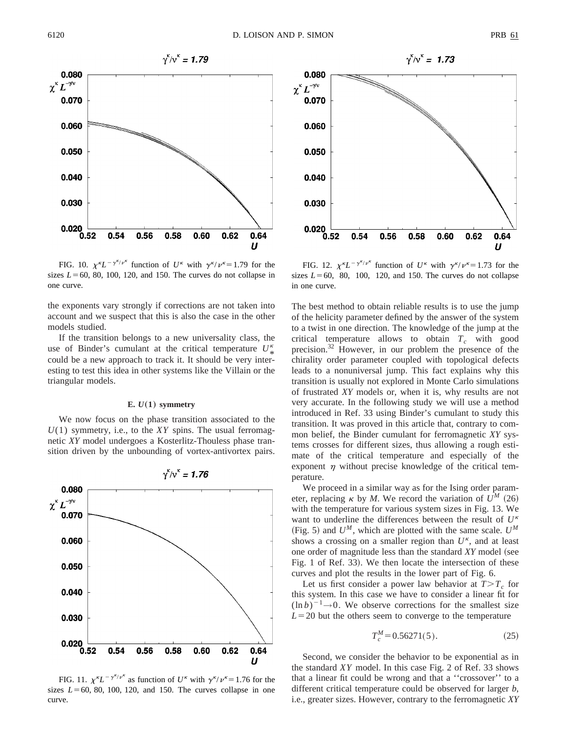![](_page_6_Figure_3.jpeg)

FIG. 10.  $\chi^{\kappa} L^{-\gamma^{\kappa}/\nu^{\kappa}}$  function of *U*<sup>k</sup> with  $\gamma^{\kappa}/\nu^{\kappa} = 1.79$  for the sizes  $L=60$ , 80, 100, 120, and 150. The curves do not collapse in one curve.

the exponents vary strongly if corrections are not taken into account and we suspect that this is also the case in the other models studied.

If the transition belongs to a new universality class, the use of Binder's cumulant at the critical temperature  $U^*_{\ast}$ <br>could be a new engregab to track it. It should be very intercould be a new approach to track it. It should be very interesting to test this idea in other systems like the Villain or the triangular models.

#### **E.**  $U(1)$  symmetry

We now focus on the phase transition associated to the *U*(1) symmetry, i.e., to the *XY* spins. The usual ferromagnetic *XY* model undergoes a Kosterlitz-Thouless phase transition driven by the unbounding of vortex-antivortex pairs.

![](_page_6_Figure_9.jpeg)

FIG. 11.  $\chi^{\kappa} L^{-\gamma^{\kappa}/\nu^{\kappa}}$  as function of  $U^{\kappa}$  with  $\gamma^{\kappa}/\nu^{\kappa} = 1.76$  for the sizes  $L=60$ , 80, 100, 120, and 150. The curves collapse in one curve.

![](_page_6_Figure_11.jpeg)

FIG. 12.  $\chi^{\kappa} L^{-\gamma^{\kappa}/\nu^{\kappa}}$  function of *U*<sup>k</sup> with  $\gamma^{\kappa}/\nu^{\kappa} = 1.73$  for the sizes  $L=60$ , 80, 100, 120, and 150. The curves do not collapse in one curve.

The best method to obtain reliable results is to use the jump of the helicity parameter defined by the answer of the system to a twist in one direction. The knowledge of the jump at the critical temperature allows to obtain  $T_c$  with good precision.32 However, in our problem the presence of the chirality order parameter coupled with topological defects leads to a nonuniversal jump. This fact explains why this transition is usually not explored in Monte Carlo simulations of frustrated *XY* models or, when it is, why results are not very accurate. In the following study we will use a method introduced in Ref. 33 using Binder's cumulant to study this transition. It was proved in this article that, contrary to common belief, the Binder cumulant for ferromagnetic *XY* systems crosses for different sizes, thus allowing a rough estimate of the critical temperature and especially of the exponent  $\eta$  without precise knowledge of the critical temperature.

We proceed in a similar way as for the Ising order parameter, replacing  $\kappa$  by *M*. We record the variation of  $U^M$  (26) with the temperature for various system sizes in Fig. 13. We want to underline the differences between the result of  $U^k$ (Fig. 5) and  $U^M$ , which are plotted with the same scale.  $U^M$ shows a crossing on a smaller region than  $U^k$ , and at least one order of magnitude less than the standard *XY* model (see Fig. 1 of Ref. 33). We then locate the intersection of these curves and plot the results in the lower part of Fig. 6.

Let us first consider a power law behavior at  $T>T_c$  for this system. In this case we have to consider a linear fit for  $(\ln b)^{-1} \rightarrow 0$ . We observe corrections for the smallest size  $L=20$  but the others seem to converge to the temperature

$$
T_c^M = 0.56271(5). \tag{25}
$$

Second, we consider the behavior to be exponential as in the standard *XY* model. In this case Fig. 2 of Ref. 33 shows that a linear fit could be wrong and that a ''crossover'' to a different critical temperature could be observed for larger *b*, i.e., greater sizes. However, contrary to the ferromagnetic *XY*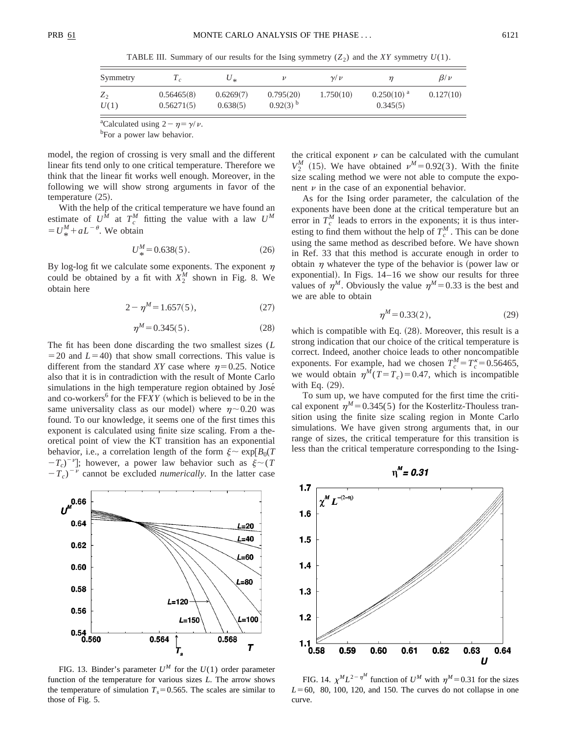TABLE III. Summary of our results for the Ising symmetry  $(Z_2)$  and the *XY* symmetry  $U(1)$ .

| Symmetry        |                          | $U_{*}$               |                                     | $\nu/\nu$ |                             | $\beta/\nu$ |
|-----------------|--------------------------|-----------------------|-------------------------------------|-----------|-----------------------------|-------------|
| $Z_{2}$<br>U(1) | 0.56465(8)<br>0.56271(5) | 0.6269(7)<br>0.638(5) | 0.795(20)<br>$0.92(3)$ <sup>b</sup> | 1.750(10) | $0.250(10)^{a}$<br>0.345(5) | 0.127(10)   |

<sup>a</sup>Calculated using  $2 - \eta = \gamma/\nu$ .

<sup>b</sup>For a power law behavior.

model, the region of crossing is very small and the different linear fits tend only to one critical temperature. Therefore we think that the linear fit works well enough. Moreover, in the following we will show strong arguments in favor of the temperature  $(25)$ .

With the help of the critical temperature we have found an estimate of  $U^M$  at  $T_c^M$  fitting the value with a law  $U^M$  $= U^M_* + aL^{-\theta}$ . We obtain

$$
U_*^M = 0.638(5). \tag{26}
$$

By log-log fit we calculate some exponents. The exponent  $\eta$ could be obtained by a fit with  $X_2^M$  shown in Fig. 8. We obtain here

$$
2 - \eta^M = 1.657(5),\tag{27}
$$

$$
\eta^M = 0.345(5). \tag{28}
$$

The fit has been done discarding the two smallest sizes (*L*  $=$  20 and *L* $=$  40) that show small corrections. This value is different from the standard *XY* case where  $n=0.25$ . Notice also that it is in contradiction with the result of Monte Carlo simulations in the high temperature region obtained by José and co-workers<sup>6</sup> for the FF*XY* (which is believed to be in the same universality class as our model) where  $\eta$  ~0.20 was found. To our knowledge, it seems one of the first times this exponent is calculated using finite size scaling. From a theoretical point of view the KT transition has an exponential behavior, i.e., a correlation length of the form  $\xi \sim \exp[B_0(T)]$  $-T_c$ <sup>-*v*</sup>]; however, a power law behavior such as  $\xi \sim (T_c)^{-1}$  $(T_c)^{-\nu}$  cannot be excluded *numerically*. In the latter case

![](_page_7_Figure_14.jpeg)

FIG. 13. Binder's parameter  $U^M$  for the  $U(1)$  order parameter function of the temperature for various sizes *L*. The arrow shows the temperature of simulation  $T_s = 0.565$ . The scales are similar to those of Fig. 5.

the critical exponent  $\nu$  can be calculated with the cumulant  $V_2^M$  (15). We have obtained  $v^M = 0.92(3)$ . With the finite size scaling method we were not able to compute the exponent  $\nu$  in the case of an exponential behavior.

As for the Ising order parameter, the calculation of the exponents have been done at the critical temperature but an error in  $T_c^M$  leads to errors in the exponents; it is thus interesting to find them without the help of  $T_c^M$ . This can be done using the same method as described before. We have shown in Ref. 33 that this method is accurate enough in order to obtain  $\eta$  whatever the type of the behavior is (power law or exponential). In Figs.  $14-16$  we show our results for three values of  $\eta^M$ . Obviously the value  $\eta^M$ =0.33 is the best and we are able to obtain

$$
\eta^M = 0.33(2),\tag{29}
$$

which is compatible with Eq.  $(28)$ . Moreover, this result is a strong indication that our choice of the critical temperature is correct. Indeed, another choice leads to other noncompatible exponents. For example, had we chosen  $T_c^M = T_c^{\kappa} = 0.56465$ , we would obtain  $\eta^M(T = T_c) = 0.47$ , which is incompatible with Eq.  $(29)$ .

To sum up, we have computed for the first time the critical exponent  $\eta^M = 0.345(5)$  for the Kosterlitz-Thouless transition using the finite size scaling region in Monte Carlo simulations. We have given strong arguments that, in our range of sizes, the critical temperature for this transition is less than the critical temperature corresponding to the Ising-

![](_page_7_Figure_21.jpeg)

FIG. 14.  $\chi^M L^{2-\eta^M}$  function of  $U^M$  with  $\eta^M = 0.31$  for the sizes  $L=60$ , 80, 100, 120, and 150. The curves do not collapse in one curve.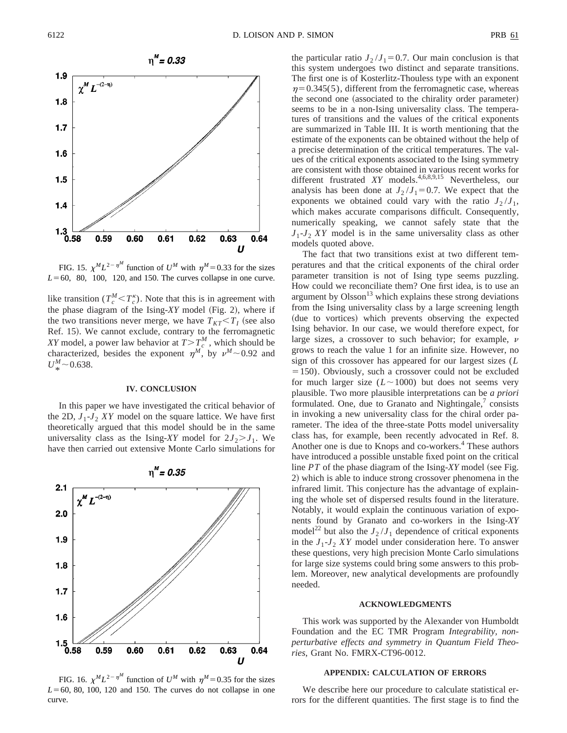![](_page_8_Figure_3.jpeg)

FIG. 15.  $\chi^M L^{2-\eta^M}$  function of  $U^M$  with  $\eta^M = 0.33$  for the sizes  $L=60$ , 80, 100, 120, and 150. The curves collapse in one curve.

like transition ( $T_c^M < T_c^{\kappa}$ ). Note that this is in agreement with the phase diagram of the Ising- $XY$  model (Fig. 2), where if the two transitions never merge, we have  $T_{KT} < T_I$  (see also Ref. 15). We cannot exclude, contrary to the ferromagnetic *XY* model, a power law behavior at  $T>T_c^M$ , which should be characterized, besides the exponent  $\eta^M$ , by  $\nu^M \sim 0.92$  and  $U_*^M$  ~ 0.638.

# **IV. CONCLUSION**

In this paper we have investigated the critical behavior of the 2D,  $J_1$ - $J_2$  *XY* model on the square lattice. We have first theoretically argued that this model should be in the same universality class as the Ising-*XY* model for  $2J_2 > J_1$ . We have then carried out extensive Monte Carlo simulations for

![](_page_8_Figure_8.jpeg)

FIG. 16.  $\chi^M L^{2-\eta^M}$  function of  $U^M$  with  $\eta^M = 0.35$  for the sizes  $L=60$ , 80, 100, 120 and 150. The curves do not collapse in one curve.

the particular ratio  $J_2 / J_1 = 0.7$ . Our main conclusion is that this system undergoes two distinct and separate transitions. The first one is of Kosterlitz-Thouless type with an exponent  $\eta$ =0.345(5), different from the ferromagnetic case, whereas the second one (associated to the chirality order parameter) seems to be in a non-Ising universality class. The temperatures of transitions and the values of the critical exponents are summarized in Table III. It is worth mentioning that the estimate of the exponents can be obtained without the help of a precise determination of the critical temperatures. The values of the critical exponents associated to the Ising symmetry are consistent with those obtained in various recent works for different frustrated *XY* models.<sup>4,6,8,9,15</sup> Nevertheless, our analysis has been done at  $J_2 / J_1 = 0.7$ . We expect that the exponents we obtained could vary with the ratio  $J_2/J_1$ , which makes accurate comparisons difficult. Consequently, numerically speaking, we cannot safely state that the  $J_1$ - $J_2$  *XY* model is in the same universality class as other models quoted above.

The fact that two transitions exist at two different temperatures and that the critical exponents of the chiral order parameter transition is not of Ising type seems puzzling. How could we reconciliate them? One first idea, is to use an argument by  $O$ lsson<sup>13</sup> which explains these strong deviations from the Ising universality class by a large screening length (due to vortices) which prevents observing the expected Ising behavior. In our case, we would therefore expect, for large sizes, a crossover to such behavior; for example,  $\nu$ grows to reach the value 1 for an infinite size. However, no sign of this crossover has appeared for our largest sizes (*L*  $=150$ ). Obviously, such a crossover could not be excluded for much larger size  $(L \sim 1000)$  but does not seems very plausible. Two more plausible interpretations can be *a priori* formulated. One, due to Granato and Nightingale,<sup>7</sup> consists in invoking a new universality class for the chiral order parameter. The idea of the three-state Potts model universality class has, for example, been recently advocated in Ref. 8. Another one is due to Knops and co-workers.<sup>4</sup> These authors have introduced a possible unstable fixed point on the critical line  $PT$  of the phase diagram of the Ising- $XY$  model (see Fig. 2) which is able to induce strong crossover phenomena in the infrared limit. This conjecture has the advantage of explaining the whole set of dispersed results found in the literature. Notably, it would explain the continuous variation of exponents found by Granato and co-workers in the Ising-*XY* model<sup>22</sup> but also the  $J_2 / J_1$  dependence of critical exponents in the  $J_1$ - $J_2$  *XY* model under consideration here. To answer these questions, very high precision Monte Carlo simulations for large size systems could bring some answers to this problem. Moreover, new analytical developments are profoundly needed.

# **ACKNOWLEDGMENTS**

This work was supported by the Alexander von Humboldt Foundation and the EC TMR Program *Integrability, nonperturbative effects and symmetry in Quantum Field Theories*, Grant No. FMRX-CT96-0012.

# **APPENDIX: CALCULATION OF ERRORS**

We describe here our procedure to calculate statistical errors for the different quantities. The first stage is to find the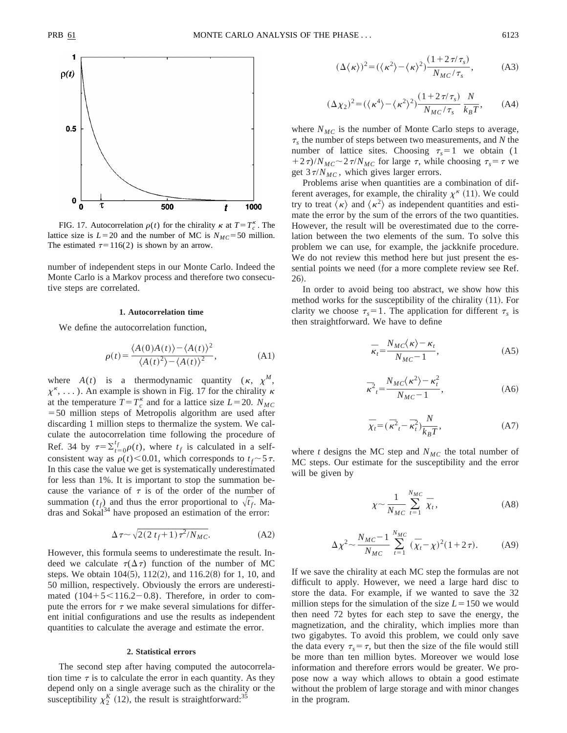![](_page_9_Figure_3.jpeg)

FIG. 17. Autocorrelation  $\rho(t)$  for the chirality  $\kappa$  at  $T = T_c^{\kappa}$ . The lattice size is  $L=20$  and the number of MC is  $N_{MC}=50$  million. The estimated  $\tau=116(2)$  is shown by an arrow.

number of independent steps in our Monte Carlo. Indeed the Monte Carlo is a Markov process and therefore two consecutive steps are correlated.

### **1. Autocorrelation time**

We define the autocorrelation function,

$$
\rho(t) = \frac{\langle A(0)A(t)\rangle - \langle A(t)\rangle^2}{\langle A(t)^2 \rangle - \langle A(t)\rangle^2},
$$
\n(A1)

where  $A(t)$  is a thermodynamic quantity  $(\kappa, \chi^M)$ ,  $\chi^k$ , ...). An example is shown in Fig. 17 for the chirality  $\kappa$ at the temperature  $T = T_c^{\kappa}$  and for a lattice size  $L = 20$ .  $N_{MC}$  $=$  50 million steps of Metropolis algorithm are used after discarding 1 million steps to thermalize the system. We calculate the autocorrelation time following the procedure of Ref. 34 by  $\tau = \sum_{t=0}^{t} \rho(t)$ , where  $t_f$  is calculated in a selfconsistent way as  $\rho(t)$ <0.01, which corresponds to  $t_f \sim 5\tau$ . In this case the value we get is systematically underestimated for less than 1%. It is important to stop the summation because the variance of  $\tau$  is of the order of the number of summation  $(t_f)$  and thus the error proportional to  $\sqrt{t_f}$ . Madras and Sokal<sup>34</sup> have proposed an estimation of the error:

$$
\Delta \tau \sim \sqrt{2(2 t_f + 1)\tau^2 / N_{MC}}.\tag{A2}
$$

However, this formula seems to underestimate the result. Indeed we calculate  $\tau(\Delta \tau)$  function of the number of MC steps. We obtain  $104(5)$ ,  $112(2)$ , and  $116.2(8)$  for 1, 10, and 50 million, respectively. Obviously the errors are underestimated  $(104+5<116.2-0.8)$ . Therefore, in order to compute the errors for  $\tau$  we make several simulations for different initial configurations and use the results as independent quantities to calculate the average and estimate the error.

### **2. Statistical errors**

The second step after having computed the autocorrelation time  $\tau$  is to calculate the error in each quantity. As they depend only on a single average such as the chirality or the susceptibility  $\chi_2^{K}$  (12), the result is straightforward:<sup>35</sup>

$$
(\Delta \langle \kappa \rangle)^2 = (\langle \kappa^2 \rangle - \langle \kappa \rangle^2) \frac{(1 + 2\tau/\tau_s)}{N_{MC}/\tau_s},
$$
 (A3)

$$
(\Delta \chi_2)^2 = (\langle \kappa^4 \rangle - \langle \kappa^2 \rangle^2) \frac{(1 + 2\tau/\tau_s)}{N_{MC}/\tau_s} \frac{N}{k_B T}, \quad (A4)
$$

where  $N_{MC}$  is the number of Monte Carlo steps to average,  $\tau_s$  the number of steps between two measurements, and *N* the number of lattice sites. Choosing  $\tau_s = 1$  we obtain (1)  $(1+2\tau)/N_{MC} \sim 2\tau/N_{MC}$  for large  $\tau$ , while choosing  $\tau_s = \tau$  we get  $3\tau/N_{MC}$ , which gives larger errors.

Problems arise when quantities are a combination of different averages, for example, the chirality  $\chi^k$  (11). We could try to treat  $\langle \kappa \rangle$  and  $\langle \kappa^2 \rangle$  as independent quantities and estimate the error by the sum of the errors of the two quantities. However, the result will be overestimated due to the correlation between the two elements of the sum. To solve this problem we can use, for example, the jackknife procedure. We do not review this method here but just present the essential points we need (for a more complete review see Ref. 26).

In order to avoid being too abstract, we show how this method works for the susceptibility of the chirality  $(11)$ . For clarity we choose  $\tau_s = 1$ . The application for different  $\tau_s$  is then straightforward. We have to define

$$
\bar{\kappa}_t = \frac{N_{MC}(\kappa) - \kappa_t}{N_{MC} - 1},\tag{A5}
$$

$$
\overline{\kappa}^2_t = \frac{N_{MC}(\kappa^2) - \kappa_t^2}{N_{MC} - 1},\tag{A6}
$$

$$
\overline{\chi}_t = (\overline{\kappa}^2 - \overline{\kappa}_t^2) \frac{N}{k_B T},
$$
\n(A7)

where  $t$  designs the MC step and  $N_{MC}$  the total number of MC steps. Our estimate for the susceptibility and the error will be given by

$$
\chi \sim \frac{1}{N_{MC}} \sum_{t=1}^{N_{MC}} \bar{\chi}_t,\tag{A8}
$$

$$
\Delta \chi^2 \sim \frac{N_{MC} - 1}{N_{MC}} \sum_{t=1}^{N_{MC}} (\bar{\chi}_t - \chi)^2 (1 + 2\tau). \tag{A9}
$$

If we save the chirality at each MC step the formulas are not difficult to apply. However, we need a large hard disc to store the data. For example, if we wanted to save the 32 million steps for the simulation of the size  $L = 150$  we would then need 72 bytes for each step to save the energy, the magnetization, and the chirality, which implies more than two gigabytes. To avoid this problem, we could only save the data every  $\tau_s = \tau$ , but then the size of the file would still be more than ten million bytes. Moreover we would lose information and therefore errors would be greater. We propose now a way which allows to obtain a good estimate without the problem of large storage and with minor changes in the program.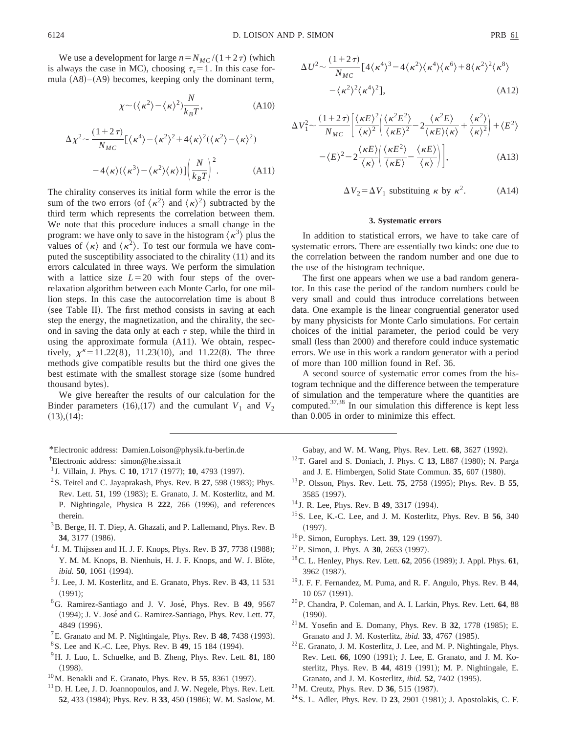We use a development for large  $n=N_{MC}/(1+2\tau)$  (which is always the case in MC), choosing  $\tau_s = 1$ . In this case formula  $(A8)$ – $(A9)$  becomes, keeping only the dominant term,

$$
\chi \sim (\langle \kappa^2 \rangle - \langle \kappa \rangle^2) \frac{N}{k_B T},\tag{A10}
$$

$$
\Delta \chi^2 \sim \frac{(1+2\,\tau)}{N_{MC}} \left[ \langle \kappa^4 \rangle - \langle \kappa^2 \rangle^2 + 4 \langle \kappa \rangle^2 (\langle \kappa^2 \rangle - \langle \kappa \rangle^2) - 4 \langle \kappa \rangle (\langle \kappa^3 \rangle - \langle \kappa^2 \rangle \langle \kappa \rangle) \right] \left( \frac{N}{k_B T} \right)^2.
$$
 (A11)

The chirality conserves its initial form while the error is the sum of the two errors (of  $\langle \kappa^2 \rangle$  and  $\langle \kappa \rangle^2$ ) subtracted by the third term which represents the correlation between them. We note that this procedure induces a small change in the program: we have only to save in the histogram  $\langle \kappa^3 \rangle$  plus the values of  $\langle \kappa \rangle$  and  $\langle \kappa^2 \rangle$ . To test our formula we have computed the susceptibility associated to the chirality  $(11)$  and its errors calculated in three ways. We perform the simulation with a lattice size  $L=20$  with four steps of the overrelaxation algorithm between each Monte Carlo, for one million steps. In this case the autocorrelation time is about 8 (see Table II). The first method consists in saving at each step the energy, the magnetization, and the chirality, the second in saving the data only at each  $\tau$  step, while the third in using the approximate formula  $(A11)$ . We obtain, respectively,  $\chi^k = 11.22(8)$ , 11.23(10), and 11.22(8). The three methods give compatible results but the third one gives the best estimate with the smallest storage size (some hundred thousand bytes).

We give hereafter the results of our calculation for the Binder parameters  $(16)$ ,  $(17)$  and the cumulant  $V_1$  and  $V_2$  $(13),(14)$ :

 $\Delta U^2 \sim \frac{(1+2\tau)}{N_{MC}} [4\langle \kappa^4 \rangle^3 - 4\langle \kappa^2 \rangle \langle \kappa^4 \rangle \langle \kappa^6 \rangle + 8\langle \kappa^2 \rangle^2 \langle \kappa^8 \rangle$  $-\langle \kappa^2 \rangle^2 \langle \kappa^4 \rangle$  $(A12)$ 

$$
\Delta V_1^2 \sim \frac{(1+2\,\tau)}{N_{MC}} \left[ \frac{\langle \kappa E \rangle^2}{\langle \kappa \rangle^2} \left( \frac{\langle \kappa^2 E^2 \rangle}{\langle \kappa E \rangle^2} - 2 \frac{\langle \kappa^2 E \rangle}{\langle \kappa E \rangle \langle \kappa \rangle} + \frac{\langle \kappa^2 \rangle}{\langle \kappa \rangle^2} \right) + \langle E^2 \rangle \right] \sim \langle E \rangle^2 - 2 \frac{\langle \kappa E \rangle}{\langle \kappa \rangle} \left( \frac{\langle \kappa E^2 \rangle}{\langle \kappa E \rangle} - \frac{\langle \kappa E \rangle}{\langle \kappa \rangle} \right), \tag{A13}
$$

 $\Delta V_2 = \Delta V_1$  substituing  $\kappa$  by  $\kappa^2$ . (A14)

# **3. Systematic errors**

In addition to statistical errors, we have to take care of systematic errors. There are essentially two kinds: one due to the correlation between the random number and one due to the use of the histogram technique.

The first one appears when we use a bad random generator. In this case the period of the random numbers could be very small and could thus introduce correlations between data. One example is the linear congruential generator used by many physicists for Monte Carlo simulations. For certain choices of the initial parameter, the period could be very small (less than 2000) and therefore could induce systematic errors. We use in this work a random generator with a period of more than 100 million found in Ref. 36.

A second source of systematic error comes from the histogram technique and the difference between the temperature of simulation and the temperature where the quantities are computed.37,38 In our simulation this difference is kept less than 0.005 in order to minimize this effect.

Gabay, and W. M. Wang, Phys. Rev. Lett. **68**, 3627 (1992).

- <sup>12</sup>T. Garel and S. Doniach, J. Phys. C 13, L887 (1980); N. Parga and J. E. Himbergen, Solid State Commun. 35, 607 (1980).
- <sup>13</sup>P. Olsson, Phys. Rev. Lett. **75**, 2758 (1995); Phys. Rev. B **55**, 3585 (1997).
- <sup>14</sup> J. R. Lee, Phys. Rev. B **49**, 3317 (1994).
- 15S. Lee, K.-C. Lee, and J. M. Kosterlitz, Phys. Rev. B **56**, 340  $(1997).$
- <sup>16</sup>P. Simon, Europhys. Lett. **39**, 129 (1997).
- <sup>17</sup>P. Simon, J. Phys. A **30**, 2653 (1997).
- <sup>18</sup> C. L. Henley, Phys. Rev. Lett. **62**, 2056 (1989); J. Appl. Phys. **61**, 3962 (1987).
- <sup>19</sup> J. F. F. Fernandez, M. Puma, and R. F. Angulo, Phys. Rev. B **44**, 10 057 (1991).
- 20P. Chandra, P. Coleman, and A. I. Larkin, Phys. Rev. Lett. **64**, 88  $(1990).$
- <sup>21</sup>M. Yosefin and E. Domany, Phys. Rev. B **32**, 1778 (1985); E. Granato and J. M. Kosterlitz, *ibid.* 33, 4767 (1985).
- 22E. Granato, J. M. Kosterlitz, J. Lee, and M. P. Nightingale, Phys. Rev. Lett. 66, 1090 (1991); J. Lee, E. Granato, and J. M. Kosterlitz, Phys. Rev. B 44, 4819 (1991); M. P. Nightingale, E. Granato, and J. M. Kosterlitz, *ibid.* **52**, 7402 (1995).
- <sup>23</sup> M. Creutz, Phys. Rev. D **36**, 515 (1987).
- $^{24}$ S. L. Adler, Phys. Rev. D 23, 2901 (1981); J. Apostolakis, C. F.

\*Electronic address: Damien.Loison@physik.fu-berlin.de † Electronic address: simon@he.sissa.it

- <sup>1</sup> J. Villain, J. Phys. C **10**, 1717 (1977); **10**, 4793 (1997).
- $2$ S. Teitel and C. Jayaprakash, Phys. Rev. B  $27$ , 598 (1983); Phys. Rev. Lett. **51**, 199 (1983); E. Granato, J. M. Kosterlitz, and M. P. Nightingale, Physica B 222, 266 (1996), and references therein.
- <sup>3</sup>B. Berge, H. T. Diep, A. Ghazali, and P. Lallemand, Phys. Rev. B **34**, 3177 (1986).
- <sup>4</sup> J. M. Thijssen and H. J. F. Knops, Phys. Rev. B 37, 7738 (1988); Y. M. M. Knops, B. Nienhuis, H. J. F. Knops, and W. J. Blöte, *ibid.* **50**, 1061 (1994).
- <sup>5</sup> J. Lee, J. M. Kosterlitz, and E. Granato, Phys. Rev. B **43**, 11 531  $(1991):$
- 6G. Ramirez-Santiago and J. V. Jose´, Phys. Rev. B **49**, 9567 ~1994!; J. V. Jose´ and G. Ramirez-Santiago, Phys. Rev. Lett. **77**, 4849 (1996).
- ${}^{7}E$ . Granato and M. P. Nightingale, Phys. Rev. B 48, 7438 (1993).
- <sup>8</sup> S. Lee and K.-C. Lee, Phys. Rev. B **49**, 15 184 (1994).
- 9H. J. Luo, L. Schuelke, and B. Zheng, Phys. Rev. Lett. **81**, 180  $(1998).$
- $10$ M. Benakli and E. Granato, Phys. Rev. B 55, 8361 (1997).
- $11$  D. H. Lee, J. D. Joannopoulos, and J. W. Negele, Phys. Rev. Lett. **52**, 433 (1984); Phys. Rev. B 33, 450 (1986); W. M. Saslow, M.